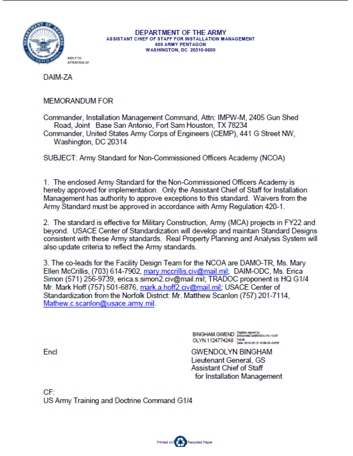

DAIM-7A

### **MEMORANDUM FOR**

Commander, Installation Management Command, Attn: IMPW-M, 2405 Gun Shed Road, Joint Base San Antonio, Fort Sam Houston, TX 78234 Commander, United States Army Corps of Engineers (CEMP), 441 G Street NW,

Washington, DC 20314

SUBJECT: Army Standard for Non-Commissioned Officers Academy (NCOA)

1. The enclosed Army Standard for the Non-Commissioned Officers Academy is hereby approved for implementation. Only the Assistant Chief of Staff for Installation Management has authority to approve exceptions to this standard. Waivers from the Army Standard must be approved in accordance with Army Regulation 420-1.

2. The standard is effective for Military Construction, Army (MCA) projects in FY22 and beyond. USACE Center of Standardization will develop and maintain Standard Designs consistent with these Army standards. Real Property Planning and Analysis System will also update criteria to reflect the Army standards.

3. The co-leads for the Facility Design Team for the NCOA are DAMO-TR, Ms. Mary Ellen McCrillis, (703) 614-7902, mary.mccrillis.civ@mail.mil; DAIM-ODC, Ms. Erica Simon (571) 256-9739, erica.s.simon2.civ@mail.mil; TRADOC proponent is HQ G1/4 Mr. Mark Hoff (757) 501-6876, mark.a.hoff2.civ@mail.mil; USACE Center of Standardization from the Norfolk District: Mr. Matthew Scanlon (757) 201-7114. Mathew.c.scanlon@usace.army.mil.

> BINGHAM.GWEND Digitally algred by OLYN.1124774248 2448

**GWENDOLYN BINGHAM** Lieutenant General, GS Assistant Chief of Staff for Installation Management

Encl

CF<sup>-</sup> US Army Training and Doctrine Command G1/4

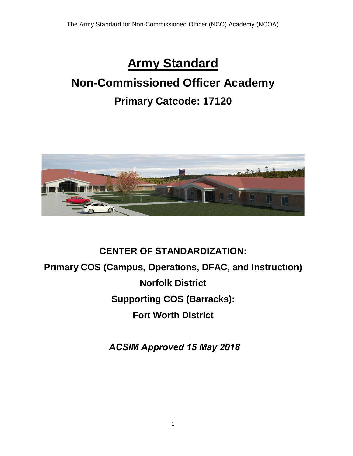# **Army Standard**

# **Non-Commissioned Officer Academy Primary Catcode: 17120**



# **CENTER OF STANDARDIZATION: Primary COS (Campus, Operations, DFAC, and Instruction) Norfolk District Supporting COS (Barracks): Fort Worth District**

 *ACSIM Approved 15 May 2018*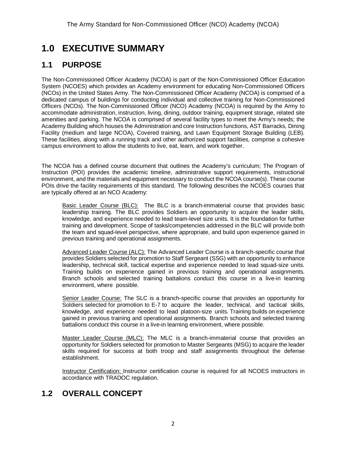# **1.0 EXECUTIVE SUMMARY**

## **1.1 PURPOSE**

The Non‐Commissioned Officer Academy (NCOA) is part of the Non-Commissioned Officer Education System (NCOES) which provides an Academy environment for educating Non‐Commissioned Officers (NCOs) in the United States Army. The Non-Commissioned Officer Academy (NCOA) is comprised of a dedicated campus of buildings for conducting individual and collective training for Non-Commissioned Officers (NCOs). The Non-Commissioned Officer (NCO) Academy (NCOA) is required by the Army to accommodate administration, instruction, living, dining, outdoor training, equipment storage, related site amenities and parking. The NCOA is comprised of several facility types to meet the Army's needs; the Academy Building which houses the Administration and core Instruction functions, AST Barracks, Dining Facility (medium and large NCOA), Covered training, and Lawn Equipment Storage Building (LEB). These facilities, along with a running track and other authorized support facilities, comprise a cohesive campus environment to allow the students to live, eat, learn, and work together.

The NCOA has a defined course document that outlines the Academy's curriculum; The Program of Instruction (POI) provides the academic timeline, administrative support requirements, instructional environment, and the materials and equipment necessary to conduct the NCOA course(s). These course POIs drive the facility requirements of this standard. The following describes the NCOES courses that are typically offered at an NCO Academy:

Basic Leader Course (BLC): The BLC is a branch-immaterial course that provides basic leadership training. The BLC provides Soldiers an opportunity to acquire the leader skills, knowledge, and experience needed to lead team-level size units. It is the foundation for further training and development. Scope of tasks/competencies addressed in the BLC will provide both the team and squad-level perspective, where appropriate, and build upon experience gained in previous training and operational assignments.

Advanced Leader Course (ALC): The Advanced Leader Course is a branch-specific course that provides Soldiers selected for promotion to Staff Sergeant (SSG) with an opportunity to enhance leadership, technical skill, tactical expertise and experience needed to lead squad-size units. Training builds on experience gained in previous training and operational assignments. Branch schools and selected training battalions conduct this course in a live-in learning environment, where possible.

Senior Leader Course: The SLC is a branch-specific course that provides an opportunity for Soldiers selected for promotion to E-7 to acquire the leader, technical, and tactical skills, knowledge, and experience needed to lead platoon-size units. Training builds on experience gained in previous training and operational assignments. Branch schools and selected training battalions conduct this course in a live-in learning environment, where possible.

Master Leader Course (MLC): The MLC is a branch-immaterial course that provides an opportunity for Soldiers selected for promotion to Master Sergeants (MSG) to acquire the leader skills required for success at both troop and staff assignments throughout the defense establishment.

Instructor Certification: Instructor certification course is required for all NCOES instructors in accordance with TRADOC regulation.

# **1.2 OVERALL CONCEPT**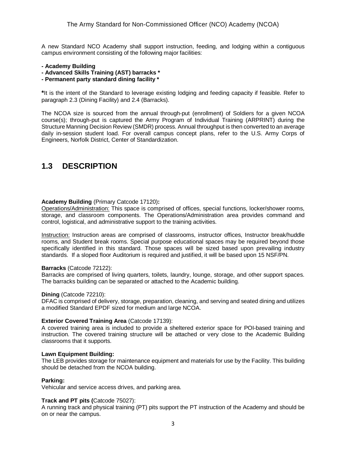A new Standard NCO Academy shall support instruction, feeding, and lodging within a contiguous campus environment consisting of the following major facilities:

#### **- Academy Building**

- **- Advanced Skills Training (AST) barracks \***
- **- Permanent party standard dining facility \***

**\***It is the intent of the Standard to leverage existing lodging and feeding capacity if feasible. Refer to paragraph 2.3 (Dining Facility) and 2.4 (Barracks).

The NCOA size is sourced from the annual through‐put (enrollment) of Soldiers for a given NCOA course(s); through-put is captured the Army Program of Individual Training (ARPRINT) during the Structure Manning Decision Review (SMDR) process. Annual throughput is then converted to an average daily in-session student load. For overall campus concept plans, refer to the U.S. Army Corps of Engineers, Norfolk District, Center of Standardization.

### **1.3 DESCRIPTION**

#### **Academy Building** (Primary Catcode 17120)**:**

Operations/Administration: This space is comprised of offices, special functions, locker/shower rooms, storage, and classroom components. The Operations/Administration area provides command and control, logistical, and administrative support to the training activities.

Instruction: Instruction areas are comprised of classrooms, instructor offices, Instructor break/huddle rooms, and Student break rooms. Special purpose educational spaces may be required beyond those specifically identified in this standard. Those spaces will be sized based upon prevailing industry standards. If a sloped floor Auditorium is required and justified, it will be based upon 15 NSF/PN.

#### **Barracks** (Catcode 72122):

Barracks are comprised of living quarters, toilets, laundry, lounge, storage, and other support spaces. The barracks building can be separated or attached to the Academic building.

#### **Dining** (Catcode 72210):

DFAC is comprised of delivery, storage, preparation, cleaning, and serving and seated dining and utilizes a modified Standard EPDF sized for medium and large NCOA.

#### **Exterior Covered Training Area** (Catcode 17139):

A covered training area is included to provide a sheltered exterior space for POI-based training and instruction. The covered training structure will be attached or very close to the Academic Building classrooms that it supports.

#### **Lawn Equipment Building:**

The LEB provides storage for maintenance equipment and materials for use by the Facility. This building should be detached from the NCOA building.

#### **Parking:**

Vehicular and service access drives, and parking area.

#### **Track and PT pits (**Catcode 75027):

A running track and physical training (PT) pits support the PT instruction of the Academy and should be on or near the campus.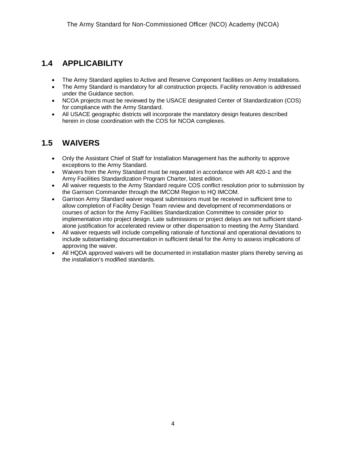### **1.4 APPLICABILITY**

- The Army Standard applies to Active and Reserve Component facilities on Army Installations.
- The Army Standard is mandatory for all construction projects. Facility renovation is addressed under the Guidance section.
- NCOA projects must be reviewed by the USACE designated Center of Standardization (COS) for compliance with the Army Standard.
- All USACE geographic districts will incorporate the mandatory design features described herein in close coordination with the COS for NCOA complexes.

# **1.5 WAIVERS**

- Only the Assistant Chief of Staff for Installation Management has the authority to approve exceptions to the Army Standard.
- Waivers from the Army Standard must be requested in accordance with AR 420-1 and the Army Facilities Standardization Program Charter, latest edition.
- All waiver requests to the Army Standard require COS conflict resolution prior to submission by the Garrison Commander through the IMCOM Region to HQ IMCOM.
- Garrison Army Standard waiver request submissions must be received in sufficient time to allow completion of Facility Design Team review and development of recommendations or courses of action for the Army Facilities Standardization Committee to consider prior to implementation into project design. Late submissions or project delays are not sufficient standalone justification for accelerated review or other dispensation to meeting the Army Standard.
- All waiver requests will include compelling rationale of functional and operational deviations to include substantiating documentation in sufficient detail for the Army to assess implications of approving the waiver.
- All HQDA approved waivers will be documented in installation master plans thereby serving as the installation's modified standards.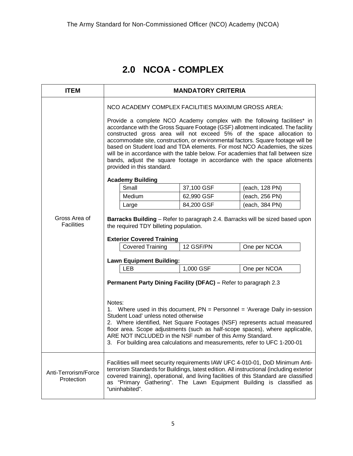# **2.0 NCOA - COMPLEX**

| <b>ITEM</b>                        | <b>MANDATORY CRITERIA</b>                                                                                                                                                                                                                                                                                                                                                                                                                                                                                                                                                                                                                                 |            |                                                                                                                                                                                                                                                                                                                                             |  |
|------------------------------------|-----------------------------------------------------------------------------------------------------------------------------------------------------------------------------------------------------------------------------------------------------------------------------------------------------------------------------------------------------------------------------------------------------------------------------------------------------------------------------------------------------------------------------------------------------------------------------------------------------------------------------------------------------------|------------|---------------------------------------------------------------------------------------------------------------------------------------------------------------------------------------------------------------------------------------------------------------------------------------------------------------------------------------------|--|
|                                    | NCO ACADEMY COMPLEX FACILITIES MAXIMUM GROSS AREA:<br>Provide a complete NCO Academy complex with the following facilities* in<br>accordance with the Gross Square Footage (GSF) allotment indicated. The facility<br>constructed gross area will not exceed 5% of the space allocation to<br>accommodate site, construction, or environmental factors. Square footage will be<br>based on Student load and TDA elements. For most NCO Academies, the sizes<br>will be in accordance with the table below. For academies that fall between size<br>bands, adjust the square footage in accordance with the space allotments<br>provided in this standard. |            |                                                                                                                                                                                                                                                                                                                                             |  |
|                                    | <b>Academy Building</b>                                                                                                                                                                                                                                                                                                                                                                                                                                                                                                                                                                                                                                   |            |                                                                                                                                                                                                                                                                                                                                             |  |
|                                    | Small                                                                                                                                                                                                                                                                                                                                                                                                                                                                                                                                                                                                                                                     | 37,100 GSF | (each, 128 PN)                                                                                                                                                                                                                                                                                                                              |  |
|                                    | Medium                                                                                                                                                                                                                                                                                                                                                                                                                                                                                                                                                                                                                                                    | 62,990 GSF | (each, 256 PN)                                                                                                                                                                                                                                                                                                                              |  |
|                                    | Large                                                                                                                                                                                                                                                                                                                                                                                                                                                                                                                                                                                                                                                     | 84,200 GSF | (each, 384 PN)                                                                                                                                                                                                                                                                                                                              |  |
| Gross Area of<br><b>Facilities</b> | the required TDY billeting population.<br><b>Exterior Covered Training</b>                                                                                                                                                                                                                                                                                                                                                                                                                                                                                                                                                                                |            | <b>Barracks Building</b> – Refer to paragraph 2.4. Barracks will be sized based upon                                                                                                                                                                                                                                                        |  |
|                                    | <b>Covered Training</b>                                                                                                                                                                                                                                                                                                                                                                                                                                                                                                                                                                                                                                   | 12 GSF/PN  | One per NCOA                                                                                                                                                                                                                                                                                                                                |  |
|                                    | <b>Lawn Equipment Building:</b>                                                                                                                                                                                                                                                                                                                                                                                                                                                                                                                                                                                                                           |            |                                                                                                                                                                                                                                                                                                                                             |  |
|                                    | <b>LEB</b>                                                                                                                                                                                                                                                                                                                                                                                                                                                                                                                                                                                                                                                | 1,000 GSF  | One per NCOA                                                                                                                                                                                                                                                                                                                                |  |
|                                    | Permanent Party Dining Facility (DFAC) - Refer to paragraph 2.3<br>Notes:<br>Student Load' unless noted otherwise<br>ARE NOT INCLUDED in the NSF number of this Army Standard.<br>3. For building area calculations and measurements, refer to UFC 1-200-01                                                                                                                                                                                                                                                                                                                                                                                               |            | 1. Where used in this document, PN = Personnel = 'Average Daily in-session<br>2. Where identified, Net Square Footages (NSF) represents actual measured<br>floor area. Scope adjustments (such as half-scope spaces), where applicable,                                                                                                     |  |
| Anti-Terrorism/Force<br>Protection | "uninhabited".                                                                                                                                                                                                                                                                                                                                                                                                                                                                                                                                                                                                                                            |            | Facilities will meet security requirements IAW UFC 4-010-01, DoD Minimum Anti-<br>terrorism Standards for Buildings, latest edition. All instructional (including exterior<br>covered training), operational, and living facilities of this Standard are classified<br>as "Primary Gathering". The Lawn Equipment Building is classified as |  |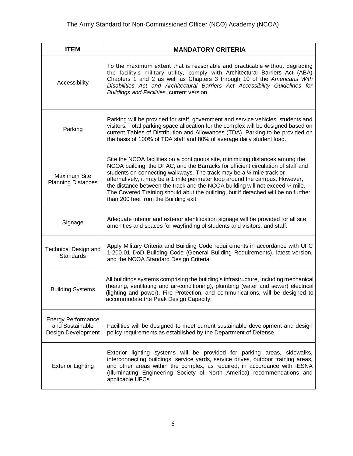| <b>ITEM</b>                                                        | <b>MANDATORY CRITERIA</b>                                                                                                                                                                                                                                                                                                                                                                                                                                                                                                                            |
|--------------------------------------------------------------------|------------------------------------------------------------------------------------------------------------------------------------------------------------------------------------------------------------------------------------------------------------------------------------------------------------------------------------------------------------------------------------------------------------------------------------------------------------------------------------------------------------------------------------------------------|
| Accessibility                                                      | To the maximum extent that is reasonable and practicable without degrading<br>the facility's military utility, comply with Architectural Barriers Act (ABA)<br>Chapters 1 and 2 as well as Chapters 3 through 10 of the Americans With<br>Disabilities Act and Architectural Barriers Act Accessibility Guidelines for<br>Buildings and Facilities, current version.                                                                                                                                                                                 |
| Parking                                                            | Parking will be provided for staff, government and service vehicles, students and<br>visitors. Total parking space allocation for the complex will be designed based on<br>current Tables of Distribution and Allowances (TDA). Parking to be provided on<br>the basis of 100% of TDA staff and 80% of average daily student load.                                                                                                                                                                                                                   |
| Maximum Site<br><b>Planning Distances</b>                          | Site the NCOA facilities on a contiguous site, minimizing distances among the<br>NCOA building, the DFAC, and the Barracks for efficient circulation of staff and<br>students on connecting walkways. The track may be a 1/4 mile track or<br>alternatively, it may be a 1 mile perimeter loop around the campus. However,<br>the distance between the track and the NCOA building will not exceed $\frac{1}{4}$ mile.<br>The Covered Training should abut the building, but if detached will be no further<br>than 200 feet from the Building exit. |
| Signage                                                            | Adequate interior and exterior identification signage will be provided for all site<br>amenities and spaces for wayfinding of students and visitors, and staff.                                                                                                                                                                                                                                                                                                                                                                                      |
| Technical Design and<br>Standards                                  | Apply Military Criteria and Building Code requirements in accordance with UFC<br>1-200-01 DoD Building Code (General Building Requirements), latest version,<br>and the NCOA Standard Design Criteria.                                                                                                                                                                                                                                                                                                                                               |
| <b>Building Systems</b>                                            | All buildings systems comprising the building's infrastructure, including mechanical<br>(heating, ventilating and air-conditioning), plumbing (water and sewer) electrical<br>(lighting and power), Fire Protection, and communications, will be designed to<br>accommodate the Peak Design Capacity.                                                                                                                                                                                                                                                |
| <b>Energy Performance</b><br>and Sustainable<br>Design Development | Facilities will be designed to meet current sustainable development and design<br>policy requirements as established by the Department of Defense.                                                                                                                                                                                                                                                                                                                                                                                                   |
| <b>Exterior Lighting</b>                                           | Exterior lighting systems will be provided for parking areas, sidewalks,<br>interconnecting buildings, service yards, service drives, outdoor training areas,<br>and other areas within the complex, as required, in accordance with IESNA<br>(Illuminating Engineering Society of North America) recommendations and<br>applicable UFCs.                                                                                                                                                                                                            |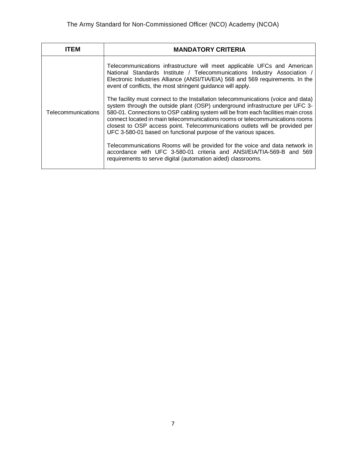|                                                                                                                                                                                                                      | ITEM | <b>MANDATORY CRITERIA</b>                                                                                                                                                                                                                                                                                                                                                                                                                                                                                                                                                                                                                                                                                                                                                                                               |
|----------------------------------------------------------------------------------------------------------------------------------------------------------------------------------------------------------------------|------|-------------------------------------------------------------------------------------------------------------------------------------------------------------------------------------------------------------------------------------------------------------------------------------------------------------------------------------------------------------------------------------------------------------------------------------------------------------------------------------------------------------------------------------------------------------------------------------------------------------------------------------------------------------------------------------------------------------------------------------------------------------------------------------------------------------------------|
| event of conflicts, the most stringent guidance will apply.<br>Telecommunications<br>UFC 3-580-01 based on functional purpose of the various spaces.<br>requirements to serve digital (automation aided) classrooms. |      | Telecommunications infrastructure will meet applicable UFCs and American<br>National Standards Institute / Telecommunications Industry Association /<br>Electronic Industries Alliance (ANSI/TIA/EIA) 568 and 569 requirements. In the<br>The facility must connect to the Installation telecommunications (voice and data)<br>system through the outside plant (OSP) underground infrastructure per UFC 3-<br>580-01. Connections to OSP cabling system will be from each facilities main cross<br>connect located in main telecommunications rooms or telecommunications rooms<br>closest to OSP access point. Telecommunications outlets will be provided per<br>Telecommunications Rooms will be provided for the voice and data network in<br>accordance with UFC 3-580-01 criteria and ANSI/EIA/TIA-569-B and 569 |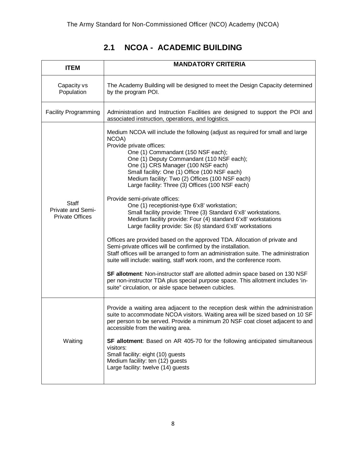# **2.1 NCOA - ACADEMIC BUILDING**

| <b>ITEM</b>                                                 | <b>MANDATORY CRITERIA</b>                                                                                                                                                                                                                                                                                                                                                                                                                                                                                                                                                                                                                                                                                                                                                                                                                                                                                                                                                                                                                                                                                                                                                                                                      |
|-------------------------------------------------------------|--------------------------------------------------------------------------------------------------------------------------------------------------------------------------------------------------------------------------------------------------------------------------------------------------------------------------------------------------------------------------------------------------------------------------------------------------------------------------------------------------------------------------------------------------------------------------------------------------------------------------------------------------------------------------------------------------------------------------------------------------------------------------------------------------------------------------------------------------------------------------------------------------------------------------------------------------------------------------------------------------------------------------------------------------------------------------------------------------------------------------------------------------------------------------------------------------------------------------------|
| Capacity vs<br>Population                                   | The Academy Building will be designed to meet the Design Capacity determined<br>by the program POI.                                                                                                                                                                                                                                                                                                                                                                                                                                                                                                                                                                                                                                                                                                                                                                                                                                                                                                                                                                                                                                                                                                                            |
| <b>Facility Programming</b>                                 | Administration and Instruction Facilities are designed to support the POI and<br>associated instruction, operations, and logistics.                                                                                                                                                                                                                                                                                                                                                                                                                                                                                                                                                                                                                                                                                                                                                                                                                                                                                                                                                                                                                                                                                            |
| <b>Staff</b><br>Private and Semi-<br><b>Private Offices</b> | Medium NCOA will include the following (adjust as required for small and large<br>NCOA)<br>Provide private offices:<br>One (1) Commandant (150 NSF each);<br>One (1) Deputy Commandant (110 NSF each);<br>One (1) CRS Manager (100 NSF each)<br>Small facility: One (1) Office (100 NSF each)<br>Medium facility: Two (2) Offices (100 NSF each)<br>Large facility: Three (3) Offices (100 NSF each)<br>Provide semi-private offices:<br>One (1) receptionist-type 6'x8' workstation;<br>Small facility provide: Three (3) Standard 6'x8' workstations.<br>Medium facility provide: Four (4) standard 6'x8' workstations<br>Large facility provide: Six (6) standard 6'x8' workstations<br>Offices are provided based on the approved TDA. Allocation of private and<br>Semi-private offices will be confirmed by the installation.<br>Staff offices will be arranged to form an administration suite. The administration<br>suite will include: waiting, staff work room, and the conference room.<br>SF allotment: Non-instructor staff are allotted admin space based on 130 NSF<br>per non-instructor TDA plus special purpose space. This allotment includes 'in-<br>suite" circulation, or aisle space between cubicles. |
| Waiting                                                     | Provide a waiting area adjacent to the reception desk within the administration<br>suite to accommodate NCOA visitors. Waiting area will be sized based on 10 SF<br>per person to be served. Provide a minimum 20 NSF coat closet adjacent to and<br>accessible from the waiting area.<br>SF allotment: Based on AR 405-70 for the following anticipated simultaneous<br>visitors:<br>Small facility: eight (10) guests<br>Medium facility: ten (12) guests<br>Large facility: twelve (14) guests                                                                                                                                                                                                                                                                                                                                                                                                                                                                                                                                                                                                                                                                                                                              |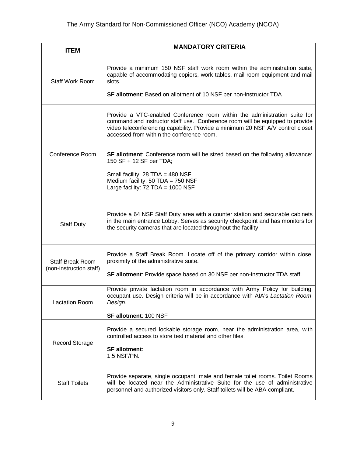| <b>ITEM</b>             | <b>MANDATORY CRITERIA</b>                                                                                                                                                                                                                                                                 |
|-------------------------|-------------------------------------------------------------------------------------------------------------------------------------------------------------------------------------------------------------------------------------------------------------------------------------------|
| <b>Staff Work Room</b>  | Provide a minimum 150 NSF staff work room within the administration suite,<br>capable of accommodating copiers, work tables, mail room equipment and mail<br>slots.                                                                                                                       |
|                         | <b>SF allotment:</b> Based on allotment of 10 NSF per non-instructor TDA                                                                                                                                                                                                                  |
|                         | Provide a VTC-enabled Conference room within the administration suite for<br>command and instructor staff use. Conference room will be equipped to provide<br>video teleconferencing capability. Provide a minimum 20 NSF A/V control closet<br>accessed from within the conference room. |
| Conference Room         | SF allotment: Conference room will be sized based on the following allowance:<br>150 SF + 12 SF per TDA;                                                                                                                                                                                  |
|                         | Small facility: 28 TDA = 480 NSF<br>Medium facility: 50 TDA = 750 NSF<br>Large facility: 72 TDA = 1000 NSF                                                                                                                                                                                |
| <b>Staff Duty</b>       | Provide a 64 NSF Staff Duty area with a counter station and securable cabinets<br>in the main entrance Lobby. Serves as security checkpoint and has monitors for<br>the security cameras that are located throughout the facility.                                                        |
| <b>Staff Break Room</b> | Provide a Staff Break Room. Locate off of the primary corridor within close<br>proximity of the administrative suite.                                                                                                                                                                     |
| (non-instruction staff) | SF allotment: Provide space based on 30 NSF per non-instructor TDA staff.                                                                                                                                                                                                                 |
| <b>Lactation Room</b>   | Provide private lactation room in accordance with Army Policy for building<br>occupant use. Design criteria will be in accordance with AIA's Lactation Room<br>Design.                                                                                                                    |
|                         | SF allotment: 100 NSF                                                                                                                                                                                                                                                                     |
| <b>Record Storage</b>   | Provide a secured lockable storage room, near the administration area, with<br>controlled access to store test material and other files.                                                                                                                                                  |
|                         | <b>SF allotment:</b><br>1.5 NSF/PN.                                                                                                                                                                                                                                                       |
| <b>Staff Toilets</b>    | Provide separate, single occupant, male and female toilet rooms. Toilet Rooms<br>will be located near the Administrative Suite for the use of administrative<br>personnel and authorized visitors only. Staff toilets will be ABA compliant.                                              |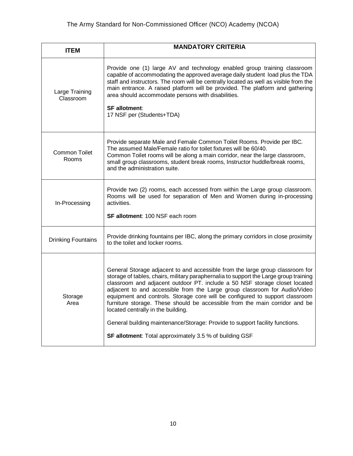| <b>ITEM</b>                   | <b>MANDATORY CRITERIA</b>                                                                                                                                                                                                                                                                                                                                                                                                                                                                                                                                                                                                                                                                |  |
|-------------------------------|------------------------------------------------------------------------------------------------------------------------------------------------------------------------------------------------------------------------------------------------------------------------------------------------------------------------------------------------------------------------------------------------------------------------------------------------------------------------------------------------------------------------------------------------------------------------------------------------------------------------------------------------------------------------------------------|--|
| Large Training<br>Classroom   | Provide one (1) large AV and technology enabled group training classroom<br>capable of accommodating the approved average daily student load plus the TDA<br>staff and instructors. The room will be centrally located as well as visible from the<br>main entrance. A raised platform will be provided. The platform and gathering<br>area should accommodate persons with disabilities.<br><b>SF allotment:</b><br>17 NSF per (Students+TDA)                                                                                                                                                                                                                                           |  |
| <b>Common Toilet</b><br>Rooms | Provide separate Male and Female Common Toilet Rooms. Provide per IBC.<br>The assumed Male/Female ratio for toilet fixtures will be 60/40.<br>Common Toilet rooms will be along a main corridor, near the large classroom,<br>small group classrooms, student break rooms, Instructor huddle/break rooms,<br>and the administration suite.                                                                                                                                                                                                                                                                                                                                               |  |
| In-Processing                 | Provide two (2) rooms, each accessed from within the Large group classroom.<br>Rooms will be used for separation of Men and Women during in-processing<br>activities.<br>SF allotment: 100 NSF each room                                                                                                                                                                                                                                                                                                                                                                                                                                                                                 |  |
| <b>Drinking Fountains</b>     | Provide drinking fountains per IBC, along the primary corridors in close proximity<br>to the toilet and locker rooms.                                                                                                                                                                                                                                                                                                                                                                                                                                                                                                                                                                    |  |
| Storage<br>Area               | General Storage adjacent to and accessible from the large group classroom for<br>storage of tables, chairs, military paraphernalia to support the Large group training<br>classroom and adjacent outdoor PT. include a 50 NSF storage closet located<br>adjacent to and accessible from the Large group classroom for Audio/Video<br>equipment and controls. Storage core will be configured to support classroom<br>furniture storage. These should be accessible from the main corridor and be<br>located centrally in the building.<br>General building maintenance/Storage: Provide to support facility functions.<br><b>SF allotment:</b> Total approximately 3.5 % of building GSF |  |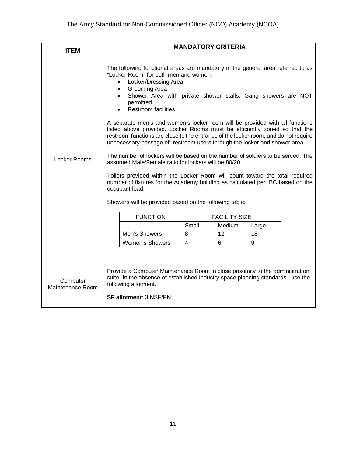| <b>ITEM</b>                  | <b>MANDATORY CRITERIA</b>                                                                                                                                                                                                                                                                                                                                                                                                                                                                                                                                                                                                                                                                                                                                                                                                                                                                                                                                  |                      |        |       |  |
|------------------------------|------------------------------------------------------------------------------------------------------------------------------------------------------------------------------------------------------------------------------------------------------------------------------------------------------------------------------------------------------------------------------------------------------------------------------------------------------------------------------------------------------------------------------------------------------------------------------------------------------------------------------------------------------------------------------------------------------------------------------------------------------------------------------------------------------------------------------------------------------------------------------------------------------------------------------------------------------------|----------------------|--------|-------|--|
| Locker Rooms                 | The following functional areas are mandatory in the general area referred to as<br>"Locker Room" for both men and women.<br>Locker/Dressing Area<br>Grooming Area<br>$\bullet$<br>Shower Area with private shower stalls. Gang showers are NOT<br>permitted.<br><b>Restroom facilities</b><br>A separate men's and women's locker room will be provided with all functions<br>listed above provided. Locker Rooms must be efficiently zoned so that the<br>restroom functions are close to the entrance of the locker room, and do not require<br>unnecessary passage of restroom users through the locker and shower area.<br>The number of lockers will be based on the number of soldiers to be served. The<br>assumed Male/Female ratio for lockers will be 80/20.<br>Toilets provided within the Locker Room will count toward the total required<br>number of fixtures for the Academy building as calculated per IBC based on the<br>occupant load. |                      |        |       |  |
|                              | Showers will be provided based on the following table:                                                                                                                                                                                                                                                                                                                                                                                                                                                                                                                                                                                                                                                                                                                                                                                                                                                                                                     |                      |        |       |  |
|                              | <b>FUNCTION</b>                                                                                                                                                                                                                                                                                                                                                                                                                                                                                                                                                                                                                                                                                                                                                                                                                                                                                                                                            | <b>FACILITY SIZE</b> |        |       |  |
|                              |                                                                                                                                                                                                                                                                                                                                                                                                                                                                                                                                                                                                                                                                                                                                                                                                                                                                                                                                                            | Small                | Medium | Large |  |
|                              | Men's Showers                                                                                                                                                                                                                                                                                                                                                                                                                                                                                                                                                                                                                                                                                                                                                                                                                                                                                                                                              | 8                    | 12     | 18    |  |
|                              | <b>Women's Showers</b>                                                                                                                                                                                                                                                                                                                                                                                                                                                                                                                                                                                                                                                                                                                                                                                                                                                                                                                                     | 4                    | 6      | 9     |  |
|                              |                                                                                                                                                                                                                                                                                                                                                                                                                                                                                                                                                                                                                                                                                                                                                                                                                                                                                                                                                            |                      |        |       |  |
| Computer<br>Maintenance Room | Provide a Computer Maintenance Room in close proximity to the administration<br>suite. In the absence of established industry space planning standards, use the<br>following allotment.<br><b>SF allotment: 3 NSF/PN</b>                                                                                                                                                                                                                                                                                                                                                                                                                                                                                                                                                                                                                                                                                                                                   |                      |        |       |  |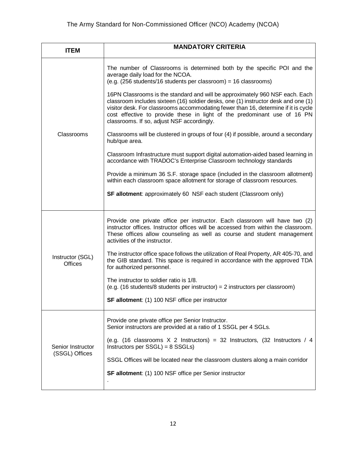| <b>ITEM</b>                         | <b>MANDATORY CRITERIA</b>                                                                                                                                                                                                                                                                                                                                                          |
|-------------------------------------|------------------------------------------------------------------------------------------------------------------------------------------------------------------------------------------------------------------------------------------------------------------------------------------------------------------------------------------------------------------------------------|
|                                     | The number of Classrooms is determined both by the specific POI and the<br>average daily load for the NCOA.<br>(e.g. (256 students/16 students per classroom) = 16 classrooms)                                                                                                                                                                                                     |
|                                     | 16PN Classrooms is the standard and will be approximately 960 NSF each. Each<br>classroom includes sixteen (16) soldier desks, one (1) instructor desk and one (1)<br>visitor desk. For classrooms accommodating fewer than 16, determine if it is cycle<br>cost effective to provide these in light of the predominant use of 16 PN<br>classrooms. If so, adjust NSF accordingly. |
| Classrooms                          | Classrooms will be clustered in groups of four (4) if possible, around a secondary<br>hub/que area.                                                                                                                                                                                                                                                                                |
|                                     | Classroom Infrastructure must support digital automation-aided based learning in<br>accordance with TRADOC's Enterprise Classroom technology standards                                                                                                                                                                                                                             |
|                                     | Provide a minimum 36 S.F. storage space (included in the classroom allotment)<br>within each classroom space allotment for storage of classroom resources.                                                                                                                                                                                                                         |
|                                     | <b>SF allotment:</b> approximately 60 NSF each student (Classroom only)                                                                                                                                                                                                                                                                                                            |
|                                     | Provide one private office per instructor. Each classroom will have two (2)<br>instructor offices. Instructor offices will be accessed from within the classroom.<br>These offices allow counseling as well as course and student management<br>activities of the instructor.                                                                                                      |
| Instructor (SGL)<br><b>Offices</b>  | The instructor office space follows the utilization of Real Property, AR 405-70, and<br>the GIB standard. This space is required in accordance with the approved TDA<br>for authorized personnel.                                                                                                                                                                                  |
|                                     | The instructor to soldier ratio is 1/8.<br>(e.g. $(16$ students/8 students per instructor) = 2 instructors per classroom)                                                                                                                                                                                                                                                          |
|                                     | SF allotment: (1) 100 NSF office per instructor                                                                                                                                                                                                                                                                                                                                    |
| Senior Instructor<br>(SSGL) Offices | Provide one private office per Senior Instructor.<br>Senior instructors are provided at a ratio of 1 SSGL per 4 SGLs.                                                                                                                                                                                                                                                              |
|                                     | (e.g. (16 classrooms $X$ 2 Instructors) = 32 Instructors, (32 Instructors / 4<br>Instructors per SSGL) = 8 SSGLs)                                                                                                                                                                                                                                                                  |
|                                     | SSGL Offices will be located near the classroom clusters along a main corridor                                                                                                                                                                                                                                                                                                     |
|                                     | SF allotment: (1) 100 NSF office per Senior instructor                                                                                                                                                                                                                                                                                                                             |
|                                     |                                                                                                                                                                                                                                                                                                                                                                                    |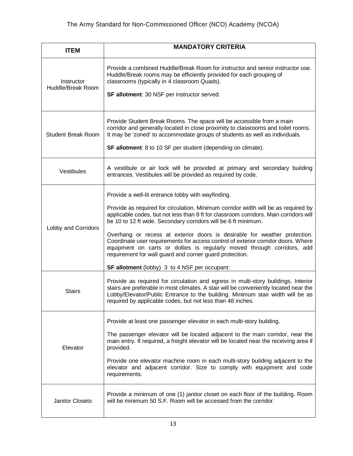| <b>ITEM</b>                     | <b>MANDATORY CRITERIA</b>                                                                                                                                                                                                                                                                                                                                                                                                                                                                                                                                                                                                                                    |
|---------------------------------|--------------------------------------------------------------------------------------------------------------------------------------------------------------------------------------------------------------------------------------------------------------------------------------------------------------------------------------------------------------------------------------------------------------------------------------------------------------------------------------------------------------------------------------------------------------------------------------------------------------------------------------------------------------|
| Instructor<br>Huddle/Break Room | Provide a combined Huddle/Break Room for instructor and senior instructor use.<br>Huddle/Break rooms may be efficiently provided for each grouping of<br>classrooms (typically in 4 classroom Quads).<br>SF allotment: 30 NSF per instructor served.                                                                                                                                                                                                                                                                                                                                                                                                         |
| <b>Student Break Room</b>       | Provide Student Break Rooms. The space will be accessible from a main<br>corridor and generally located in close proximity to classrooms and toilet rooms.<br>It may be 'zoned' to accommodate groups of students as well as individuals.<br>SF allotment: 8 to 10 SF per student (depending on climate).                                                                                                                                                                                                                                                                                                                                                    |
| Vestibules                      | A vestibule or air lock will be provided at primary and secondary building<br>entrances. Vestibules will be provided as required by code.                                                                                                                                                                                                                                                                                                                                                                                                                                                                                                                    |
| Lobby and Corridors             | Provide a well-lit entrance lobby with wayfinding.<br>Provide as required for circulation. Minimum corridor width will be as required by<br>applicable codes, but not less than 8 ft for classroom corridors. Main corridors will<br>be 10 to 12 ft wide. Secondary corridors will be 6 ft minimum.<br>Overhang or recess at exterior doors is desirable for weather protection.<br>Coordinate user requirements for access control of exterior corridor doors. Where<br>equipment on carts or dollies is regularly moved through corridors, add<br>requirement for wall guard and corner guard protection.<br>SF allotment (lobby) 3 to 4 NSF per occupant: |
| <b>Stairs</b>                   | Provide as required for circulation and egress in multi-story buildings. Interior<br>stairs are preferable in most climates. A stair will be conveniently located near the<br>Lobby/Elevator/Public Entrance to the building. Minimum stair width will be as<br>required by applicable codes, but not less than 48 inches.                                                                                                                                                                                                                                                                                                                                   |
| Elevator                        | Provide at least one passenger elevator in each multi-story building.<br>The passenger elevator will be located adjacent to the main corridor, near the<br>main entry. If required, a freight elevator will be located near the receiving area if<br>provided.<br>Provide one elevator machine room in each multi-story building adjacent to the<br>elevator and adjacent corridor. Size to comply with equipment and code<br>requirements.                                                                                                                                                                                                                  |
| <b>Janitor Closets</b>          | Provide a minimum of one (1) janitor closet on each floor of the building. Room<br>will be minimum 50 S.F. Room will be accessed from the corridor.                                                                                                                                                                                                                                                                                                                                                                                                                                                                                                          |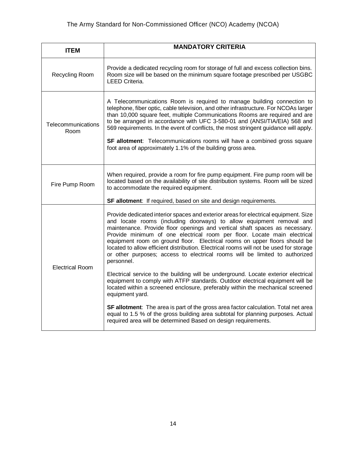| <b>ITEM</b>                | <b>MANDATORY CRITERIA</b>                                                                                                                                                                                                                                                                                                                                                                                                                                                                                                                                                                                                                                                                                                                                                                                                                                                                                                                                                                                                                                                                                            |
|----------------------------|----------------------------------------------------------------------------------------------------------------------------------------------------------------------------------------------------------------------------------------------------------------------------------------------------------------------------------------------------------------------------------------------------------------------------------------------------------------------------------------------------------------------------------------------------------------------------------------------------------------------------------------------------------------------------------------------------------------------------------------------------------------------------------------------------------------------------------------------------------------------------------------------------------------------------------------------------------------------------------------------------------------------------------------------------------------------------------------------------------------------|
| Recycling Room             | Provide a dedicated recycling room for storage of full and excess collection bins.<br>Room size will be based on the minimum square footage prescribed per USGBC<br><b>LEED Criteria.</b>                                                                                                                                                                                                                                                                                                                                                                                                                                                                                                                                                                                                                                                                                                                                                                                                                                                                                                                            |
| Telecommunications<br>Room | A Telecommunications Room is required to manage building connection to<br>telephone, fiber optic, cable television, and other infrastructure. For NCOAs larger<br>than 10,000 square feet, multiple Communications Rooms are required and are<br>to be arranged in accordance with UFC 3-580-01 and (ANSI/TIA/EIA) 568 and<br>569 requirements. In the event of conflicts, the most stringent guidance will apply.<br>SF allotment: Telecommunications rooms will have a combined gross square<br>foot area of approximately 1.1% of the building gross area.                                                                                                                                                                                                                                                                                                                                                                                                                                                                                                                                                        |
| Fire Pump Room             | When required, provide a room for fire pump equipment. Fire pump room will be<br>located based on the availability of site distribution systems. Room will be sized<br>to accommodate the required equipment.<br>SF allotment: If required, based on site and design requirements.                                                                                                                                                                                                                                                                                                                                                                                                                                                                                                                                                                                                                                                                                                                                                                                                                                   |
| <b>Electrical Room</b>     | Provide dedicated interior spaces and exterior areas for electrical equipment. Size<br>and locate rooms (including doorways) to allow equipment removal and<br>maintenance. Provide floor openings and vertical shaft spaces as necessary.<br>Provide minimum of one electrical room per floor. Locate main electrical<br>equipment room on ground floor. Electrical rooms on upper floors should be<br>located to allow efficient distribution. Electrical rooms will not be used for storage<br>or other purposes; access to electrical rooms will be limited to authorized<br>personnel.<br>Electrical service to the building will be underground. Locate exterior electrical<br>equipment to comply with ATFP standards. Outdoor electrical equipment will be<br>located within a screened enclosure, preferably within the mechanical screened<br>equipment yard.<br>SF allotment: The area is part of the gross area factor calculation. Total net area<br>equal to 1.5 % of the gross building area subtotal for planning purposes. Actual<br>required area will be determined Based on design requirements. |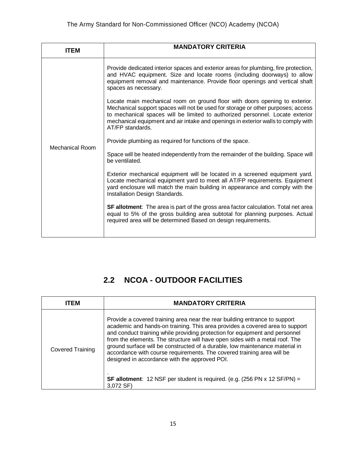| ITEM            | <b>MANDATORY CRITERIA</b>                                                                                                                                                                                                                                                                                                                                 |
|-----------------|-----------------------------------------------------------------------------------------------------------------------------------------------------------------------------------------------------------------------------------------------------------------------------------------------------------------------------------------------------------|
|                 | Provide dedicated interior spaces and exterior areas for plumbing, fire protection,<br>and HVAC equipment. Size and locate rooms (including doorways) to allow<br>equipment removal and maintenance. Provide floor openings and vertical shaft<br>spaces as necessary.                                                                                    |
|                 | Locate main mechanical room on ground floor with doors opening to exterior.<br>Mechanical support spaces will not be used for storage or other purposes; access<br>to mechanical spaces will be limited to authorized personnel. Locate exterior<br>mechanical equipment and air intake and openings in exterior walls to comply with<br>AT/FP standards. |
| Mechanical Room | Provide plumbing as required for functions of the space.                                                                                                                                                                                                                                                                                                  |
|                 | Space will be heated independently from the remainder of the building. Space will<br>be ventilated.                                                                                                                                                                                                                                                       |
|                 | Exterior mechanical equipment will be located in a screened equipment yard.<br>Locate mechanical equipment yard to meet all AT/FP requirements. Equipment<br>yard enclosure will match the main building in appearance and comply with the<br>Installation Design Standards.                                                                              |
|                 | <b>SF allotment:</b> The area is part of the gross area factor calculation. Total net area<br>equal to 5% of the gross building area subtotal for planning purposes. Actual<br>required area will be determined Based on design requirements.                                                                                                             |
|                 |                                                                                                                                                                                                                                                                                                                                                           |

# **2.2 NCOA - OUTDOOR FACILITIES**

| ITFM                    | <b>MANDATORY CRITERIA</b>                                                                                                                                                                                                                                                                                                                                                                                                                                                                                                                                                                                                                                    |
|-------------------------|--------------------------------------------------------------------------------------------------------------------------------------------------------------------------------------------------------------------------------------------------------------------------------------------------------------------------------------------------------------------------------------------------------------------------------------------------------------------------------------------------------------------------------------------------------------------------------------------------------------------------------------------------------------|
| <b>Covered Training</b> | Provide a covered training area near the rear building entrance to support<br>academic and hands-on training. This area provides a covered area to support<br>and conduct training while providing protection for equipment and personnel<br>from the elements. The structure will have open sides with a metal roof. The<br>ground surface will be constructed of a durable, low maintenance material in<br>accordance with course requirements. The covered training area will be<br>designed in accordance with the approved POI.<br><b>SF allotment:</b> 12 NSF per student is required. (e.g. $(256 \text{ PN} \times 12 \text{ SF/PN}) =$<br>3,072 SF) |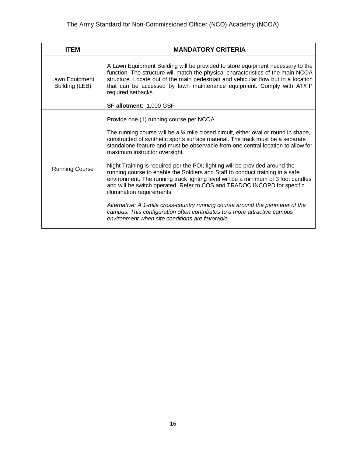| <b>ITEM</b>                      | <b>MANDATORY CRITERIA</b>                                                                                                                                                                                                                                                                                                                                                                                                                                                                                                                                                                                                                                                                                                                                                                                                                                                                                                          |
|----------------------------------|------------------------------------------------------------------------------------------------------------------------------------------------------------------------------------------------------------------------------------------------------------------------------------------------------------------------------------------------------------------------------------------------------------------------------------------------------------------------------------------------------------------------------------------------------------------------------------------------------------------------------------------------------------------------------------------------------------------------------------------------------------------------------------------------------------------------------------------------------------------------------------------------------------------------------------|
| Lawn Equipment<br>Building (LEB) | A Lawn Equipment Building will be provided to store equipment necessary to the<br>function. The structure will match the physical characteristics of the main NCOA<br>structure. Locate out of the main pedestrian and vehicular flow but in a location<br>that can be accessed by lawn maintenance equipment. Comply with AT/FP<br>required setbacks.<br>SF allotment: 1,000 GSF                                                                                                                                                                                                                                                                                                                                                                                                                                                                                                                                                  |
| <b>Running Course</b>            | Provide one (1) running course per NCOA.<br>The running course will be a $\frac{1}{4}$ mile closed circuit, either oval or round in shape,<br>constructed of synthetic sports surface material. The track must be a separate<br>standalone feature and must be observable from one central location to allow for<br>maximum instructor oversight.<br>Night Training is required per the POI; lighting will be provided around the<br>running course to enable the Soldiers and Staff to conduct training in a safe<br>environment. The running track lighting level will be a minimum of 3 foot candles<br>and will be switch operated. Refer to COS and TRADOC INCOPD for specific<br>illumination requirements.<br>Alternative: A 1-mile cross-country running course around the perimeter of the<br>campus. This configuration often contributes to a more attractive campus<br>environment when site conditions are favorable. |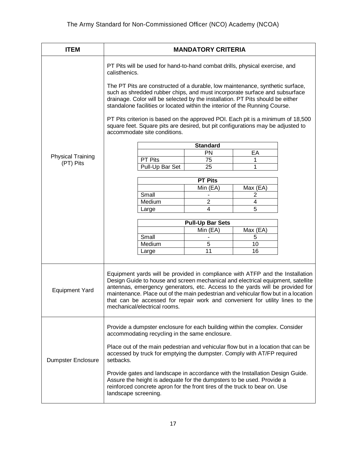| <b>ITEM</b>                           | <b>MANDATORY CRITERIA</b>                                                                                                                                                                                                                                                                                                                                                                                                                                                                                                                                                                          |  |  |
|---------------------------------------|----------------------------------------------------------------------------------------------------------------------------------------------------------------------------------------------------------------------------------------------------------------------------------------------------------------------------------------------------------------------------------------------------------------------------------------------------------------------------------------------------------------------------------------------------------------------------------------------------|--|--|
| <b>Physical Training</b><br>(PT) Pits | PT Pits will be used for hand-to-hand combat drills, physical exercise, and<br>calisthenics.<br>The PT Pits are constructed of a durable, low maintenance, synthetic surface,<br>such as shredded rubber chips, and must incorporate surface and subsurface<br>drainage. Color will be selected by the installation. PT Pits should be either<br>standalone facilities or located within the interior of the Running Course.<br>PT Pits criterion is based on the approved POI. Each pit is a minimum of 18,500<br>square feet. Square pits are desired, but pit configurations may be adjusted to |  |  |
|                                       | accommodate site conditions.<br>Standard<br>PN<br>EА<br><b>PT Pits</b><br>75<br>1<br>Pull-Up Bar Set<br>25<br>1                                                                                                                                                                                                                                                                                                                                                                                                                                                                                    |  |  |
|                                       | <b>PT Pits</b><br>Min (EA)<br>Max (EA)<br>Small<br>2<br>$\overline{2}$<br>Medium<br>4<br>4<br>5<br>Large<br><b>Pull-Up Bar Sets</b><br>Min (EA)<br>Max (EA)<br>Small<br>5<br>Medium<br>5<br>10<br>11<br>16<br>Large                                                                                                                                                                                                                                                                                                                                                                                |  |  |
| <b>Equipment Yard</b>                 | Equipment yards will be provided in compliance with ATFP and the Installation<br>Design Guide to house and screen mechanical and electrical equipment, satellite<br>antennas, emergency generators, etc. Access to the yards will be provided for<br>maintenance. Place out of the main pedestrian and vehicular flow but in a location<br>that can be accessed for repair work and convenient for utility lines to the<br>mechanical/electrical rooms.                                                                                                                                            |  |  |
| <b>Dumpster Enclosure</b>             | Provide a dumpster enclosure for each building within the complex. Consider<br>accommodating recycling in the same enclosure.<br>Place out of the main pedestrian and vehicular flow but in a location that can be<br>accessed by truck for emptying the dumpster. Comply with AT/FP required<br>setbacks.<br>Provide gates and landscape in accordance with the Installation Design Guide.<br>Assure the height is adequate for the dumpsters to be used. Provide a<br>reinforced concrete apron for the front tires of the truck to bear on. Use<br>landscape screening.                         |  |  |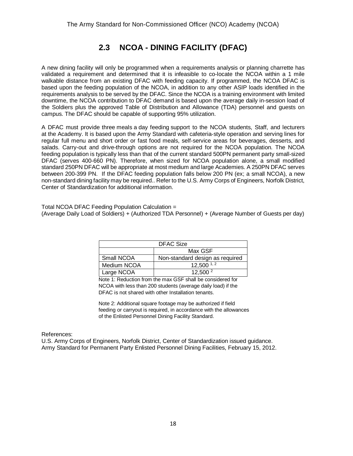## **2.3 NCOA - DINING FACILITY (DFAC)**

A new dining facility will only be programmed when a requirements analysis or planning charrette has validated a requirement and determined that it is infeasible to co-locate the NCOA within a 1 mile walkable distance from an existing DFAC with feeding capacity. If programmed, the NCOA DFAC is based upon the feeding population of the NCOA, in addition to any other ASIP loads identified in the requirements analysis to be served by the DFAC. Since the NCOA is a training environment with limited downtime, the NCOA contribution to DFAC demand is based upon the average daily in-session load of the Soldiers plus the approved Table of Distribution and Allowance (TDA) personnel and guests on campus. The DFAC should be capable of supporting 95% utilization.

A DFAC must provide three meals a day feeding support to the NCOA students, Staff, and lecturers at the Academy. It is based upon the Army Standard with cafeteria‐style operation and serving lines for regular full menu and short order or fast food meals, self‐service areas for beverages, desserts, and salads. Carry-out and drive-through options are not required for the NCOA population. The NCOA feeding population is typically less than that of the current standard 500PN permanent party small-sized DFAC (serves 400-660 PN). Therefore, when sized for NCOA population alone, a small modified standard 250PN DFAC will be appropriate at most medium and large Academies. A 250PN DFAC serves between 200-399 PN. If the DFAC feeding population falls below 200 PN (ex; a small NCOA), a new non-standard dining facility may be required.. Refer to the U.S. Army Corps of Engineers, Norfolk District, Center of Standardization for additional information.

Total NCOA DFAC Feeding Population Calculation = (Average Daily Load of Soldiers) + (Authorized TDA Personnel) + (Average Number of Guests per day)

| <b>DFAC Size</b> |                                 |  |
|------------------|---------------------------------|--|
|                  | Max GSF                         |  |
| Small NCOA       | Non-standard design as required |  |
| Medium NCOA      | $12,500^{1,2}$                  |  |
| Large NCOA       | 12,500 <sup>2</sup>             |  |

Note 1: Reduction from the max GSF shall be considered for NCOA with less than 200 students (average daily load) if the DFAC is not shared with other Installation tenants.

Note 2: Additional square footage may be authorized if field feeding or carryout is required, in accordance with the allowances of the Enlisted Personnel Dining Facility Standard.

References:

U.S. Army Corps of Engineers, Norfolk District, Center of Standardization issued guidance. Army Standard for Permanent Party Enlisted Personnel Dining Facilities, February 15, 2012.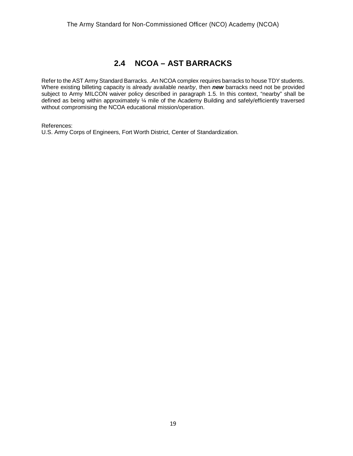### **2.4 NCOA – AST BARRACKS**

Refer to the AST Army Standard Barracks. .An NCOA complex requires barracks to house TDY students. Where existing billeting capacity is already available *nearby*, then *new* barracks need not be provided subject to Army MILCON waiver policy described in paragraph 1.5. In this context, "nearby" shall be defined as being within approximately ¼ mile of the Academy Building and safely/efficiently traversed without compromising the NCOA educational mission/operation.

References:

U.S. Army Corps of Engineers, Fort Worth District, Center of Standardization.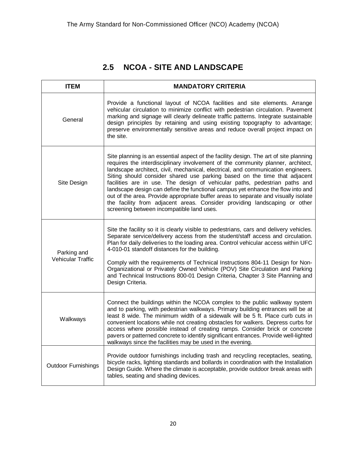# **2.5 NCOA - SITE AND LANDSCAPE**

| <b>ITEM</b>                             | <b>MANDATORY CRITERIA</b>                                                                                                                                                                                                                                                                                                                                                                                                                                                                                                                                                                                                                                                                                                  |
|-----------------------------------------|----------------------------------------------------------------------------------------------------------------------------------------------------------------------------------------------------------------------------------------------------------------------------------------------------------------------------------------------------------------------------------------------------------------------------------------------------------------------------------------------------------------------------------------------------------------------------------------------------------------------------------------------------------------------------------------------------------------------------|
| General                                 | Provide a functional layout of NCOA facilities and site elements. Arrange<br>vehicular circulation to minimize conflict with pedestrian circulation. Pavement<br>marking and signage will clearly delineate traffic patterns. Integrate sustainable<br>design principles by retaining and using existing topography to advantage;<br>preserve environmentally sensitive areas and reduce overall project impact on<br>the site.                                                                                                                                                                                                                                                                                            |
| Site Design                             | Site planning is an essential aspect of the facility design. The art of site planning<br>requires the interdisciplinary involvement of the community planner, architect,<br>landscape architect, civil, mechanical, electrical, and communication engineers.<br>Siting should consider shared use parking based on the time that adjacent<br>facilities are in use. The design of vehicular paths, pedestrian paths and<br>landscape design can define the functional campus yet enhance the flow into and<br>out of the area. Provide appropriate buffer areas to separate and visually isolate<br>the facility from adjacent areas. Consider providing landscaping or other<br>screening between incompatible land uses. |
| Parking and<br><b>Vehicular Traffic</b> | Site the facility so it is clearly visible to pedestrians, cars and delivery vehicles.<br>Separate service/delivery access from the student/staff access and circulation.<br>Plan for daily deliveries to the loading area. Control vehicular access within UFC<br>4-010-01 standoff distances for the building.<br>Comply with the requirements of Technical Instructions 804-11 Design for Non-<br>Organizational or Privately Owned Vehicle (POV) Site Circulation and Parking<br>and Technical Instructions 800-01 Design Criteria, Chapter 3 Site Planning and<br>Design Criteria.                                                                                                                                    |
| Walkways                                | Connect the buildings within the NCOA complex to the public walkway system<br>and to parking, with pedestrian walkways. Primary building entrances will be at<br>least 8 wide. The minimum width of a sidewalk will be 5 ft. Place curb cuts in<br>convenient locations while not creating obstacles for walkers. Depress curbs for<br>access where possible instead of creating ramps. Consider brick or concrete<br>pavers or patterned concrete to identify significant entrances. Provide well-lighted<br>walkways since the facilities may be used in the evening.                                                                                                                                                    |
| <b>Outdoor Furnishings</b>              | Provide outdoor furnishings including trash and recycling receptacles, seating,<br>bicycle racks, lighting standards and bollards in coordination with the Installation<br>Design Guide. Where the climate is acceptable, provide outdoor break areas with<br>tables, seating and shading devices.                                                                                                                                                                                                                                                                                                                                                                                                                         |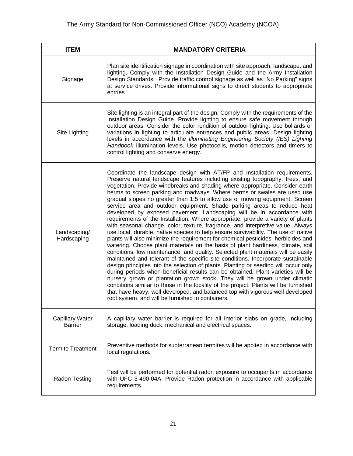| <b>ITEM</b>                              | <b>MANDATORY CRITERIA</b>                                                                                                                                                                                                                                                                                                                                                                                                                                                                                                                                                                                                                                                                                                                                                                                                                                                                                                                                                                                                                                                                                                                                                                                                                                                                                                                                                                                                                                                                                                                                                                                                                                     |
|------------------------------------------|---------------------------------------------------------------------------------------------------------------------------------------------------------------------------------------------------------------------------------------------------------------------------------------------------------------------------------------------------------------------------------------------------------------------------------------------------------------------------------------------------------------------------------------------------------------------------------------------------------------------------------------------------------------------------------------------------------------------------------------------------------------------------------------------------------------------------------------------------------------------------------------------------------------------------------------------------------------------------------------------------------------------------------------------------------------------------------------------------------------------------------------------------------------------------------------------------------------------------------------------------------------------------------------------------------------------------------------------------------------------------------------------------------------------------------------------------------------------------------------------------------------------------------------------------------------------------------------------------------------------------------------------------------------|
| Signage                                  | Plan site identification signage in coordination with site approach, landscape, and<br>lighting. Comply with the Installation Design Guide and the Army Installation<br>Design Standards. Provide traffic control signage as well as "No Parking" signs<br>at service drives. Provide informational signs to direct students to appropriate<br>entries.                                                                                                                                                                                                                                                                                                                                                                                                                                                                                                                                                                                                                                                                                                                                                                                                                                                                                                                                                                                                                                                                                                                                                                                                                                                                                                       |
| Site Lighting                            | Site lighting is an integral part of the design. Comply with the requirements of the<br>Installation Design Guide. Provide lighting to ensure safe movement through<br>outdoor areas. Consider the color rendition of outdoor lighting. Use bollards or<br>variations in lighting to articulate entrances and public areas. Design lighting<br>levels in accordance with the Illuminating Engineering Society (IES) Lighting<br>Handbook illumination levels. Use photocells, motion detectors and timers to<br>control lighting and conserve energy.                                                                                                                                                                                                                                                                                                                                                                                                                                                                                                                                                                                                                                                                                                                                                                                                                                                                                                                                                                                                                                                                                                         |
| Landscaping/<br>Hardscaping              | Coordinate the landscape design with AT/FP and Installation requirements.<br>Preserve natural landscape features including existing topography, trees, and<br>vegetation. Provide windbreaks and shading where appropriate. Consider earth<br>berms to screen parking and roadways. Where berms or swales are used use<br>gradual slopes no greater than 1:5 to allow use of mowing equipment. Screen<br>service area and outdoor equipment. Shade parking areas to reduce heat<br>developed by exposed pavement. Landscaping will be in accordance with<br>requirements of the Installation. Where appropriate, provide a variety of plants<br>with seasonal change, color, texture, fragrance, and interpretive value. Always<br>use local, durable, native species to help ensure survivability. The use of native<br>plants will also minimize the requirement for chemical pesticides, herbicides and<br>watering. Choose plant materials on the basis of plant hardiness, climate, soil<br>conditions, low maintenance, and quality. Selected plant materials will be easily<br>maintained and tolerant of the specific site conditions. Incorporate sustainable<br>design principles into the selection of plants. Planting or seeding will occur only<br>during periods when beneficial results can be obtained. Plant varieties will be<br>nursery grown or plantation grown stock. They will be grown under climatic<br>conditions similar to those in the locality of the project. Plants will be furnished<br>that have heavy, well developed, and balanced top with vigorous well developed<br>root system, and will be furnished in containers. |
| <b>Capillary Water</b><br><b>Barrier</b> | A capillary water barrier is required for all interior slabs on grade, including<br>storage, loading dock, mechanical and electrical spaces.                                                                                                                                                                                                                                                                                                                                                                                                                                                                                                                                                                                                                                                                                                                                                                                                                                                                                                                                                                                                                                                                                                                                                                                                                                                                                                                                                                                                                                                                                                                  |
| <b>Termite Treatment</b>                 | Preventive methods for subterranean termites will be applied in accordance with<br>local regulations.                                                                                                                                                                                                                                                                                                                                                                                                                                                                                                                                                                                                                                                                                                                                                                                                                                                                                                                                                                                                                                                                                                                                                                                                                                                                                                                                                                                                                                                                                                                                                         |
| <b>Radon Testing</b>                     | Test will be performed for potential radon exposure to occupants in accordance<br>with UFC 3-490-04A. Provide Radon protection in accordance with applicable<br>requirements.                                                                                                                                                                                                                                                                                                                                                                                                                                                                                                                                                                                                                                                                                                                                                                                                                                                                                                                                                                                                                                                                                                                                                                                                                                                                                                                                                                                                                                                                                 |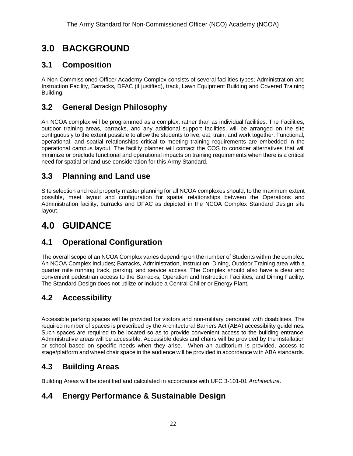# **3.0 BACKGROUND**

## **3.1 Composition**

A Non-Commissioned Officer Academy Complex consists of several facilities types; Administration and Instruction Facility, Barracks, DFAC (if justified), track, Lawn Equipment Building and Covered Training Building.

# **3.2 General Design Philosophy**

An NCOA complex will be programmed as a complex, rather than as individual facilities. The Facilities, outdoor training areas, barracks, and any additional support facilities, will be arranged on the site contiguously to the extent possible to allow the students to live, eat, train, and work together. Functional, operational, and spatial relationships critical to meeting training requirements are embedded in the operational campus layout. The facility planner will contact the COS to consider alternatives that will minimize or preclude functional and operational impacts on training requirements when there is a critical need for spatial or land use consideration for this Army Standard.

### **3.3 Planning and Land use**

Site selection and real property master planning for all NCOA complexes should, to the maximum extent possible, meet layout and configuration for spatial relationships between the Operations and Administration facility, barracks and DFAC as depicted in the NCOA Complex Standard Design site layout.

# **4.0 GUIDANCE**

# **4.1 Operational Configuration**

The overall scope of an NCOA Complex varies depending on the number of Students within the complex. An NCOA Complex includes; Barracks, Administration, Instruction, Dining, Outdoor Training area with a quarter mile running track, parking, and service access. The Complex should also have a clear and convenient pedestrian access to the Barracks, Operation and Instruction Facilities, and Dining Facility. The Standard Design does not utilize or include a Central Chiller or Energy Plant.

# **4.2 Accessibility**

Accessible parking spaces will be provided for visitors and non-military personnel with disabilities. The required number of spaces is prescribed by the Architectural Barriers Act (ABA) accessibility guidelines. Such spaces are required to be located so as to provide convenient access to the building entrance. Administrative areas will be accessible. Accessible desks and chairs will be provided by the installation or school based on specific needs when they arise. When an auditorium is provided, access to stage/platform and wheel chair space in the audience will be provided in accordance with ABA standards.

### **4.3 Building Areas**

Building Areas will be identified and calculated in accordance with UFC 3-101-01 *Architecture*.

# **4.4 Energy Performance & Sustainable Design**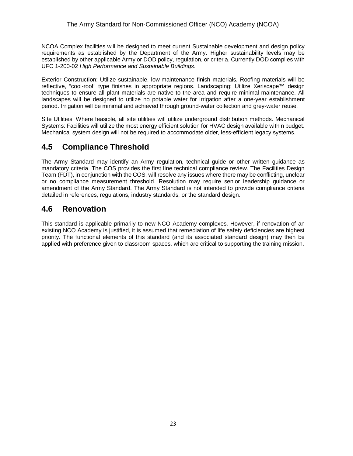NCOA Complex facilities will be designed to meet current Sustainable development and design policy requirements as established by the Department of the Army. Higher sustainability levels may be established by other applicable Army or DOD policy, regulation, or criteria. Currently DOD complies with UFC 1-200-02 *High Performance and Sustainable Buildings*.

Exterior Construction: Utilize sustainable, low-maintenance finish materials. Roofing materials will be reflective, "cool-roof" type finishes in appropriate regions. Landscaping: Utilize Xeriscape™ design techniques to ensure all plant materials are native to the area and require minimal maintenance. All landscapes will be designed to utilize no potable water for irrigation after a one-year establishment period. Irrigation will be minimal and achieved through ground-water collection and grey-water reuse.

Site Utilities: Where feasible, all site utilities will utilize underground distribution methods. Mechanical Systems: Facilities will utilize the most energy efficient solution for HVAC design available within budget. Mechanical system design will not be required to accommodate older, less-efficient legacy systems.

### **4.5 Compliance Threshold**

The Army Standard may identify an Army regulation, technical guide or other written guidance as mandatory criteria. The COS provides the first line technical compliance review. The Facilities Design Team (FDT), in conjunction with the COS, will resolve any issues where there may be conflicting, unclear or no compliance measurement threshold. Resolution may require senior leadership guidance or amendment of the Army Standard. The Army Standard is not intended to provide compliance criteria detailed in references, regulations, industry standards, or the standard design.

### **4.6 Renovation**

This standard is applicable primarily to new NCO Academy complexes. However, if renovation of an existing NCO Academy is justified, it is assumed that remediation of life safety deficiencies are highest priority. The functional elements of this standard (and its associated standard design) may then be applied with preference given to classroom spaces, which are critical to supporting the training mission.